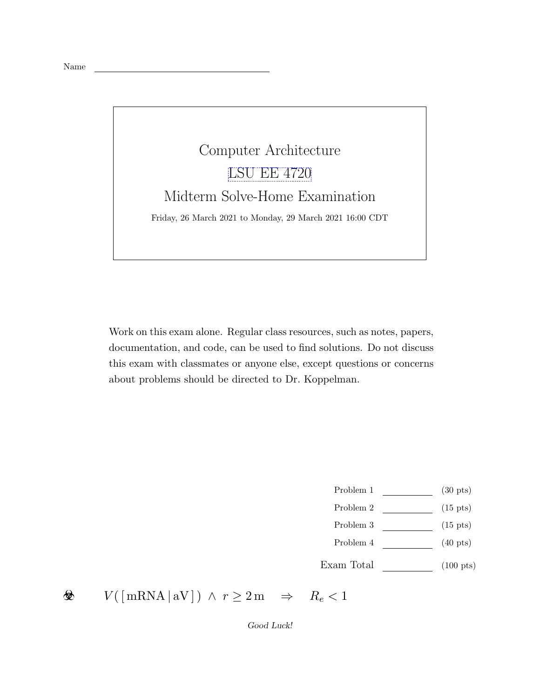Name

## Computer Architecture [LSU EE 4720](https://www.ece.lsu.edu/ee4720/) Midterm Solve-Home Examination Friday, 26 March 2021 to Monday, 29 March 2021 16:00 CDT

Work on this exam alone. Regular class resources, such as notes, papers, documentation, and code, can be used to find solutions. Do not discuss this exam with classmates or anyone else, except questions or concerns about problems should be directed to Dr. Koppelman.

- Problem 1 (30 pts)
- Problem 2 (15 pts)
- Problem 3 (15 pts)
- Problem 4 (40 pts)
- Exam Total (100 pts)

 $V(\lceil \text{mRNA} \rceil \text{aV} \rceil) \land r \geq 2 \text{m} \Rightarrow R_e < 1$ ❀

Good Luck!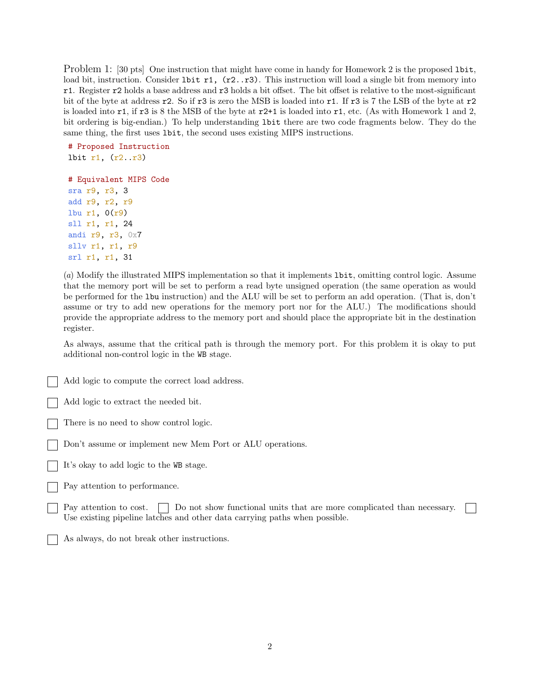Problem 1: [30 pts] One instruction that might have come in handy for Homework 2 is the proposed 1bit. load bit, instruction. Consider 1bit r1, (r2..r3). This instruction will load a single bit from memory into r1. Register r2 holds a base address and r3 holds a bit offset. The bit offset is relative to the most-significant bit of the byte at address r2. So if r3 is zero the MSB is loaded into r1. If r3 is 7 the LSB of the byte at r2 is loaded into r1, if r3 is 8 the MSB of the byte at r2+1 is loaded into r1, etc. (As with Homework 1 and 2, bit ordering is big-endian.) To help understanding lbit there are two code fragments below. They do the same thing, the first uses lbit, the second uses existing MIPS instructions.

```
# Proposed Instruction
lbit r1, (r2..r3)# Equivalent MIPS Code
sra r9, r3, 3
add r9, r2, r9
lbu r1, 0(r9)
sll r1, r1, 24
```
andi r9, r3, 0x7 sllv r1, r1, r9 srl r1, r1, 31

(a) Modify the illustrated MIPS implementation so that it implements lbit, omitting control logic. Assume that the memory port will be set to perform a read byte unsigned operation (the same operation as would be performed for the lbu instruction) and the ALU will be set to perform an add operation. (That is, don't assume or try to add new operations for the memory port nor for the ALU.) The modifications should provide the appropriate address to the memory port and should place the appropriate bit in the destination register.

As always, assume that the critical path is through the memory port. For this problem it is okay to put additional non-control logic in the WB stage.

Add logic to compute the correct load address.

Add logic to extract the needed bit.

- There is no need to show control logic.
- Don't assume or implement new Mem Port or ALU operations.
- It's okay to add logic to the WB stage.
- Pay attention to performance.

Pay attention to cost. Do not show functional units that are more complicated than necessary. Use existing pipeline latches and other data carrying paths when possible.

As always, do not break other instructions.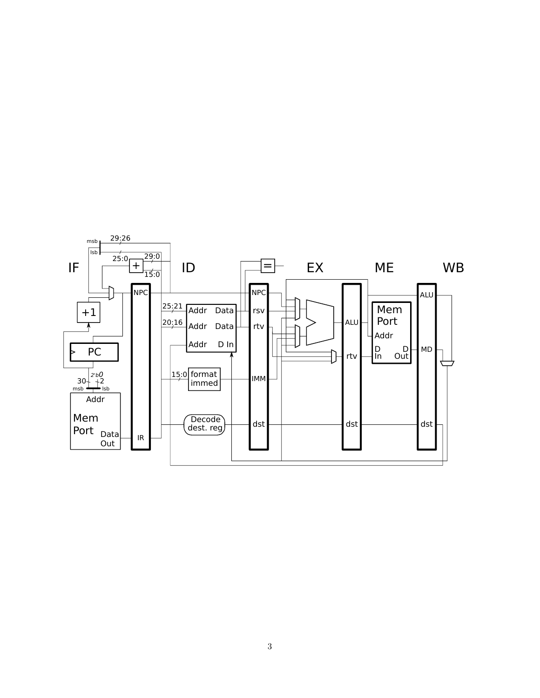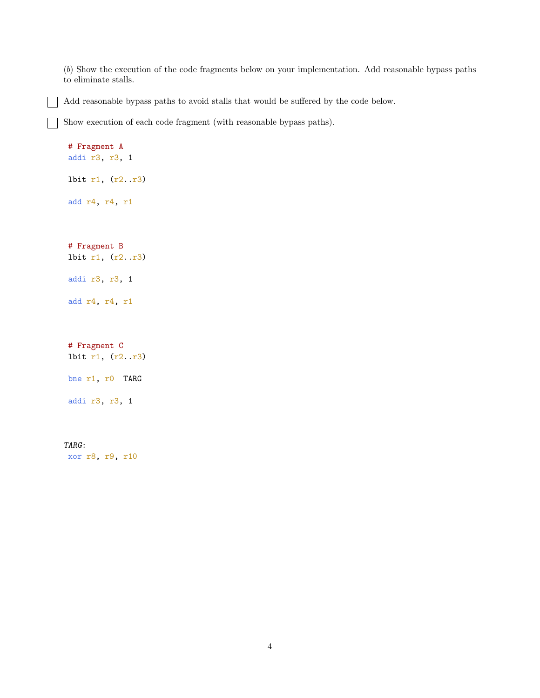(b) Show the execution of the code fragments below on your implementation. Add reasonable bypass paths to eliminate stalls.

Add reasonable bypass paths to avoid stalls that would be suffered by the code below.

Show execution of each code fragment (with reasonable bypass paths).

```
# Fragment A
addi r3, r3, 1
lbit r1, (r2..r3)
add r4, r4, r1
# Fragment B
lbit r1, (r2..r3)
addi r3, r3, 1
add r4, r4, r1
# Fragment C
lbit r1, (r2..r3)
bne r1, r0 TARG
addi r3, r3, 1
```
## TARG:

xor r8, r9, r10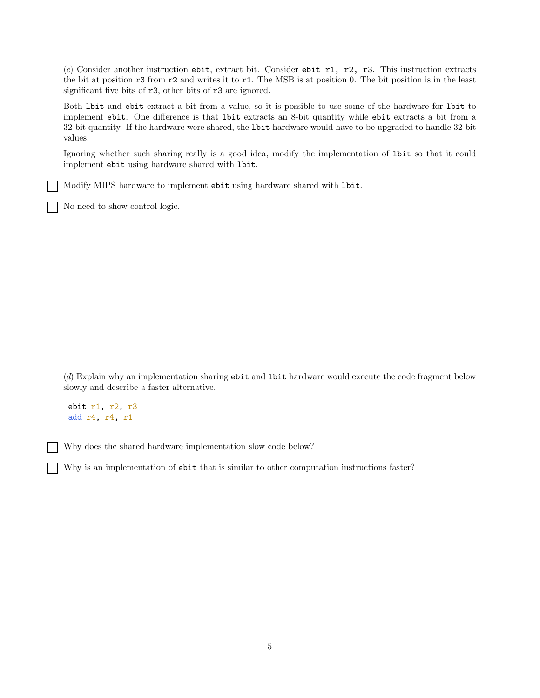(c) Consider another instruction ebit, extract bit. Consider ebit  $r1$ ,  $r2$ ,  $r3$ . This instruction extracts the bit at position r3 from r2 and writes it to r1. The MSB is at position 0. The bit position is in the least significant five bits of r3, other bits of r3 are ignored.

Both lbit and ebit extract a bit from a value, so it is possible to use some of the hardware for lbit to implement ebit. One difference is that lbit extracts an 8-bit quantity while ebit extracts a bit from a 32-bit quantity. If the hardware were shared, the lbit hardware would have to be upgraded to handle 32-bit values.

Ignoring whether such sharing really is a good idea, modify the implementation of lbit so that it could implement ebit using hardware shared with lbit.

Modify MIPS hardware to implement ebit using hardware shared with lbit.

No need to show control logic.

(d) Explain why an implementation sharing ebit and lbit hardware would execute the code fragment below slowly and describe a faster alternative.

ebit r1, r2, r3 add r4, r4, r1

Why does the shared hardware implementation slow code below?

Why is an implementation of ebit that is similar to other computation instructions faster?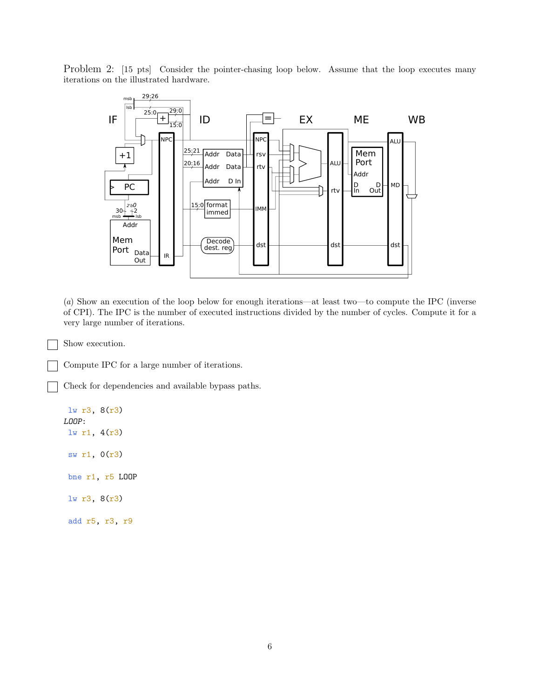Problem 2: [15 pts] Consider the pointer-chasing loop below. Assume that the loop executes many iterations on the illustrated hardware.



(a) Show an execution of the loop below for enough iterations—at least two—to compute the IPC (inverse of CPI). The IPC is the number of executed instructions divided by the number of cycles. Compute it for a very large number of iterations.

Show execution.

Compute IPC for a large number of iterations.

Check for dependencies and available bypass paths.

lw r3, 8(r3) LOOP: lw r1, 4(r3) sw r1, 0(r3) bne r1, r5 LOOP lw r3, 8(r3) add r5, r3, r9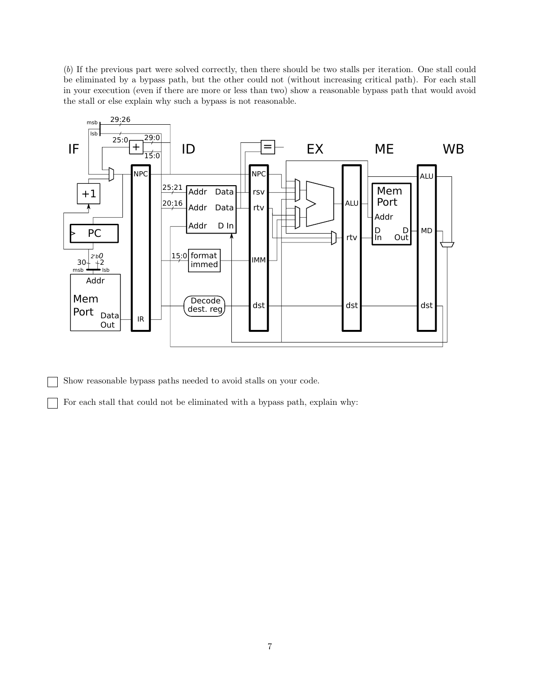(b) If the previous part were solved correctly, then there should be two stalls per iteration. One stall could be eliminated by a bypass path, but the other could not (without increasing critical path). For each stall in your execution (even if there are more or less than two) show a reasonable bypass path that would avoid the stall or else explain why such a bypass is not reasonable.



Show reasonable bypass paths needed to avoid stalls on your code.

For each stall that could not be eliminated with a bypass path, explain why: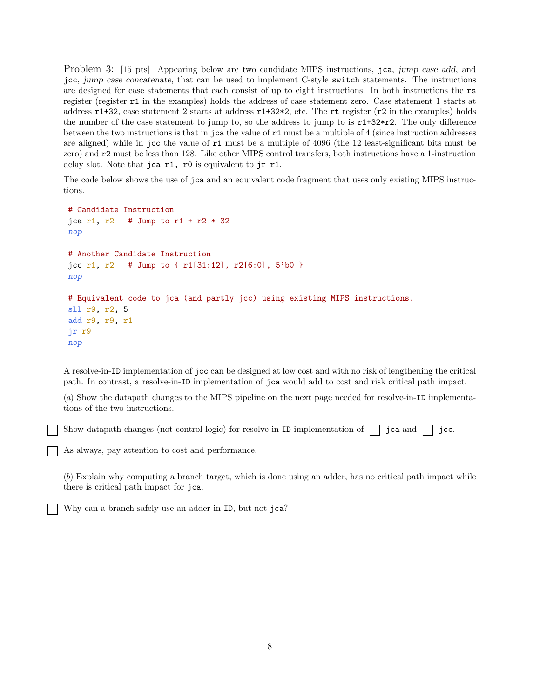Problem 3: [15 pts] Appearing below are two candidate MIPS instructions, jca, jump case add, and jcc, jump case concatenate, that can be used to implement C-style switch statements. The instructions are designed for case statements that each consist of up to eight instructions. In both instructions the rs register (register r1 in the examples) holds the address of case statement zero. Case statement 1 starts at address r1+32, case statement 2 starts at address r1+32\*2, etc. The rt register (r2 in the examples) holds the number of the case statement to jump to, so the address to jump to is  $r1+32*r2$ . The only difference between the two instructions is that in jca the value of  $r1$  must be a multiple of 4 (since instruction addresses are aligned) while in jcc the value of r1 must be a multiple of 4096 (the 12 least-significant bits must be zero) and r2 must be less than 128. Like other MIPS control transfers, both instructions have a 1-instruction delay slot. Note that jca r1, r0 is equivalent to jr r1.

The code below shows the use of jca and an equivalent code fragment that uses only existing MIPS instructions.

```
# Candidate Instruction
jca r1, r2 # Jump to r1 + r2 * 32
nop
# Another Candidate Instruction
jcc r1, r2 # Jump to { r1[31:12], r2[6:0], 5'b0 }
nop
# Equivalent code to jca (and partly jcc) using existing MIPS instructions.
sll r9, r2, 5
add r9, r9, r1
jr r9
nop
```
A resolve-in-ID implementation of jcc can be designed at low cost and with no risk of lengthening the critical path. In contrast, a resolve-in-ID implementation of jca would add to cost and risk critical path impact.

(a) Show the datapath changes to the MIPS pipeline on the next page needed for resolve-in-ID implementations of the two instructions.

Show datapath changes (not control logic) for resolve-in-ID implementation of  $\vert$  jca and jcc.

As always, pay attention to cost and performance.

(b) Explain why computing a branch target, which is done using an adder, has no critical path impact while there is critical path impact for jca.

Why can a branch safely use an adder in ID, but not jca?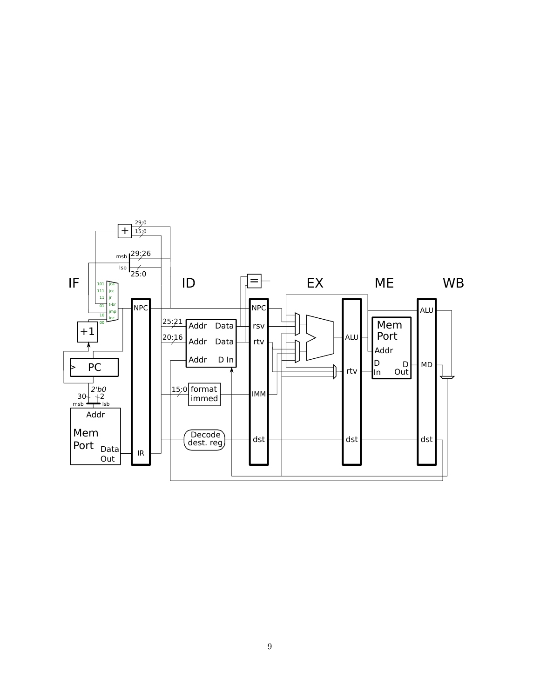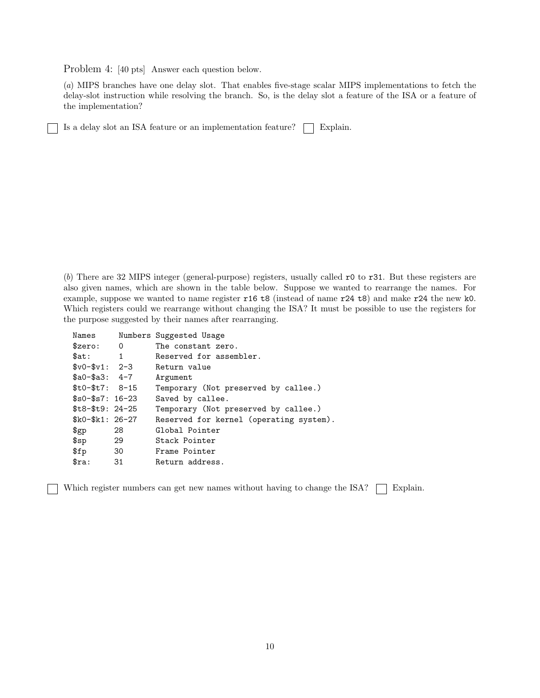Problem 4: [40 pts] Answer each question below.

(a) MIPS branches have one delay slot. That enables five-stage scalar MIPS implementations to fetch the delay-slot instruction while resolving the branch. So, is the delay slot a feature of the ISA or a feature of the implementation?

Is a delay slot an ISA feature or an implementation feature?  $\Box$  Explain.

(b) There are 32 MIPS integer (general-purpose) registers, usually called r0 to r31. But these registers are also given names, which are shown in the table below. Suppose we wanted to rearrange the names. For example, suppose we wanted to name register r16 t8 (instead of name r24 t8) and make r24 the new k0. Which registers could we rearrange without changing the ISA? It must be possible to use the registers for the purpose suggested by their names after rearranging.

| Names                      |              | Numbers Suggested Usage                 |
|----------------------------|--------------|-----------------------------------------|
| $s_{zero}$ :               | 0            | The constant zero.                      |
| $\texttt{Sat:}$            | $\mathbf{1}$ | Reserved for assembler.                 |
| $\text{$}5v0 - 5v1: 2 - 3$ |              | Return value                            |
| $\$a0-\$a3: 4-7$           |              | Argument                                |
| $$t0-$t7: 8-15$            |              | Temporary (Not preserved by callee.)    |
| $$s0-\$s7:16-23$           |              | Saved by callee.                        |
| $$t8-\$t9: 24-25$          |              | Temporary (Not preserved by callee.)    |
| $k0 - k1: 26 - 27$         |              | Reserved for kernel (operating system). |
| $\frac{6}{2}$              | 28           | Global Pointer                          |
| \$sp                       | 29           | Stack Pointer                           |
| \$fp\$                     | 30           | Frame Pointer                           |
| $s_{ra}$ :                 | 31           | Return address.                         |

Which register numbers can get new names without having to change the ISA?  $\Box$  Explain.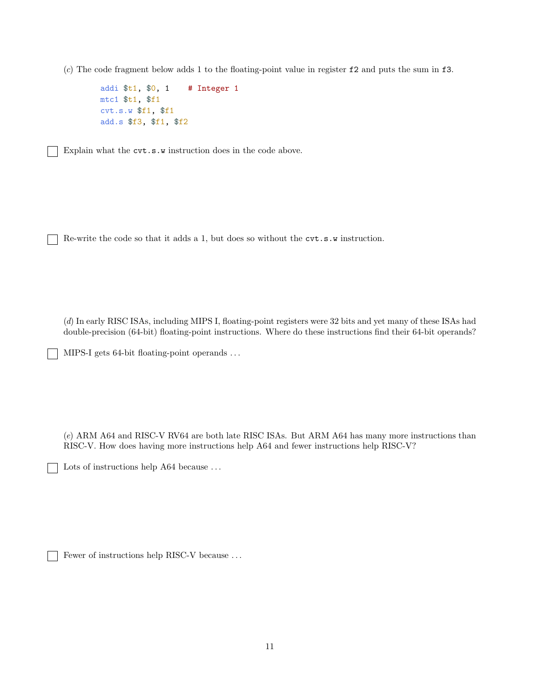(c) The code fragment below adds 1 to the floating-point value in register f2 and puts the sum in f3.

```
addi $t1, $0, 1 # Integer 1
mtc1 $t1, $f1
cvt.s.w $f1, $f1
add.s $f3, $f1, $f2
```
Explain what the  $\text{cvt.s.}$  w instruction does in the code above.

Re-write the code so that it adds a 1, but does so without the cvt.s.w instruction.

(d) In early RISC ISAs, including MIPS I, floating-point registers were 32 bits and yet many of these ISAs had double-precision (64-bit) floating-point instructions. Where do these instructions find their 64-bit operands?

MIPS-I gets 64-bit floating-point operands . . .

(e) ARM A64 and RISC-V RV64 are both late RISC ISAs. But ARM A64 has many more instructions than RISC-V. How does having more instructions help A64 and fewer instructions help RISC-V?

Lots of instructions help A64 because ...

Fewer of instructions help RISC-V because  $\ldots$